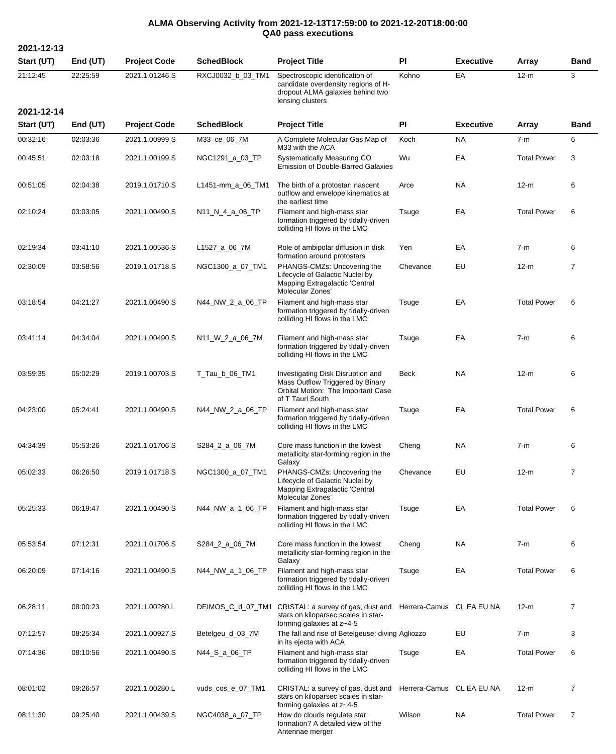## **ALMA Observing Activity from 2021-12-13T17:59:00 to 2021-12-20T18:00:00 QA0 pass executions**

**2021-12-13 Start (UT) End (UT) Project Code SchedBlock Project Title PI Executive Array Band** 21:12:45 22:25:59 2021.1.01246.S RXCJ0032\_b\_03\_TM1 Spectroscopic identification of candidate overdensity regions of Hdropout ALMA galaxies behind two lensing clusters Kohno EA 12-m 3 **2021-12-14 Start (UT) End (UT) Project Code SchedBlock Project Title PI Executive Array Band** 00:32:16 02:03:36 2021.1.00999.S M33\_ce\_06\_7M A Complete Molecular Gas Map of M33 with the ACA Koch NA 7-m 6 00:45:51 02:03:18 2021.1.00199.S NGC1291\_a\_03\_TP Systematically Measuring CO Emission of Double-Barred Galaxies Wu **EA** Total Power 3 00:51:05 02:04:38 2019.1.01710.S L1451-mm\_a\_06\_TM1 The birth of a protostar: nascent outflow and envelope kinematics at the earliest time Arce NA 12-m 6 02:10:24 03:03:05 2021.1.00490.S N11\_N\_4\_a\_06\_TP Filament and high-mass star formation triggered by tidally-driven colliding HI flows in the LMC Tsuge EA Total Power 6 02:19:34 03:41:10 2021.1.00536.S L1527\_a\_06\_7M Role of ambipolar diffusion in disk formation around protostars Yen EA 7-m 6 02:30:09 03:58:56 2019.1.01718.S NGC1300\_a\_07\_TM1 PHANGS-CMZs: Uncovering the Lifecycle of Galactic Nuclei by Mapping Extragalactic 'Central Molecular Zones' Chevance EU 12-m 7 03:18:54 04:21:27 2021.1.00490.S N44\_NW\_2\_a\_06\_TP Filament and high-mass star formation triggered by tidally-driven colliding HI flows in the LMC Tsuge EA Total Power 6 03:41:14 04:34:04 2021.1.00490.S N11\_W\_2\_a\_06\_7M Filament and high-mass star formation triggered by tidally-driven colliding HI flows in the LMC Tsuge EA 7-m 6 03:59:35 05:02:29 2019.1.00703.S T\_Tau\_b\_06\_TM1 Investigating Disk Disruption and Mass Outflow Triggered by Binary Orbital Motion: The Important Case of T Tauri South Beck NA 12-m 6 04:23:00 05:24:41 2021.1.00490.S N44 NW 2 a 06 TP Filament and high-mass star formation triggered by tidally-driven colliding HI flows in the LMC Tsuge EA Total Power 6 04:34:39 05:53:26 2021.1.01706.S S284 2 a 06 7M Core mass function in the lowest metallicity star-forming region in the Galaxy Cheng NA 7-m 6 05:02:33 06:26:50 2019.1.01718.S NGC1300\_a\_07\_TM1 PHANGS-CMZs: Uncovering the Lifecycle of Galactic Nuclei by Mapping Extragalactic 'Central Molecular Zones' Chevance EU 12-m 7 05:25:33 06:19:47 2021.1.00490.S N44\_NW\_a\_1\_06\_TP Filament and high-mass star formation triggered by tidally-driven colliding HI flows in the LMC Tsuge EA Total Power 6 05:53:54 07:12:31 2021.1.01706.S S284\_2\_a\_06\_7M Core mass function in the lowest metallicity star-forming region in the **Galaxy** Cheng NA 7-m 6 06:20:09 07:14:16 2021.1.00490.S N44\_NW\_a\_1\_06\_TP Filament and high-mass star formation triggered by tidally-driven colliding HI flows in the LMC Tsuge EA Total Power 6 06:28:11 08:00:23 2021.1.00280.L DEIMOS\_C\_d\_07\_TM1 CRISTAL: a survey of gas, dust and Herrera-Camus CL EA EU NA 12-m 7 stars on kiloparsec scales in starforming galaxies at z~4-5 07:12:57 08:25:34 2021.1.00927.S Betelgeu\_d\_03\_7M The fall and rise of Betelgeuse: diving Agliozzo EU 7-m 3 in its ejecta with ACA 07:14:36 08:10:56 2021.1.00490.S N44\_S\_a\_06\_TP Filament and high-mass star formation triggered by tidally-driven colliding HI flows in the LMC Tsuge EA Total Power 6 08:01:02 09:26:57 2021.1.00280.L vuds\_cos\_e\_07\_TM1 CRISTAL: a survey of gas, dust and stars on kiloparsec scales in starforming galaxies at z~4-5 Herrera-Camus CL EA EU NA 12-m 7 08:11:30 09:25:40 2021.1.00439.S NGC4038\_a\_07\_TP How do clouds regulate star formation? A detailed view of the Antennae merger Wilson NA Total Power 7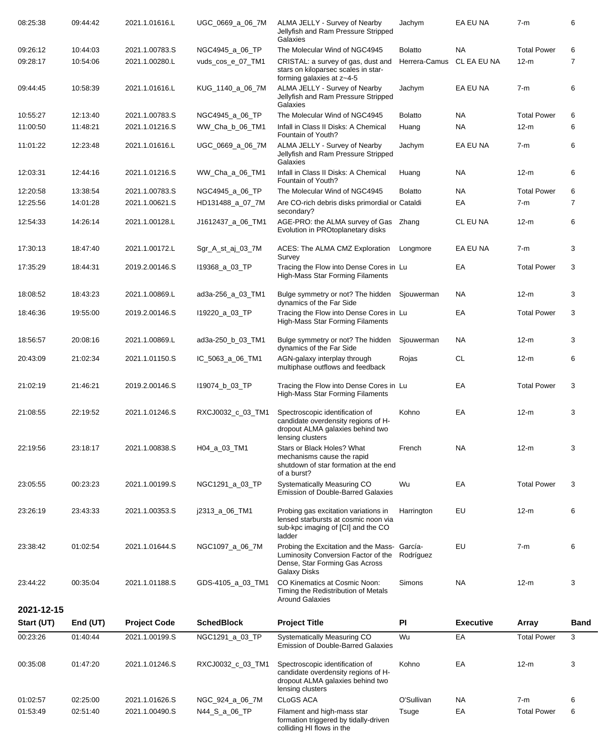| 08:25:38   | 09:44:42 | 2021.1.01616.L      | UGC_0669_a_06_7M  | ALMA JELLY - Survey of Nearby<br>Jellyfish and Ram Pressure Stripped<br>Galaxies                                                                       | Jachym         | EA EU NA         | $7-m$              | 6              |
|------------|----------|---------------------|-------------------|--------------------------------------------------------------------------------------------------------------------------------------------------------|----------------|------------------|--------------------|----------------|
| 09:26:12   | 10:44:03 | 2021.1.00783.S      | NGC4945_a_06_TP   | The Molecular Wind of NGC4945                                                                                                                          | <b>Bolatto</b> | NA.              | <b>Total Power</b> | 6              |
| 09:28:17   | 10:54:06 | 2021.1.00280.L      | vuds_cos_e_07_TM1 | CRISTAL: a survey of gas, dust and<br>stars on kiloparsec scales in star-<br>forming galaxies at z~4-5                                                 | Herrera-Camus  | CL EA EU NA      | $12-m$             | $\overline{7}$ |
| 09:44:45   | 10:58:39 | 2021.1.01616.L      | KUG_1140_a_06_7M  | ALMA JELLY - Survey of Nearby<br>Jellyfish and Ram Pressure Stripped<br>Galaxies                                                                       | Jachym         | EA EU NA         | $7-m$              | 6              |
| 10:55:27   | 12:13:40 | 2021.1.00783.S      | NGC4945_a_06_TP   | The Molecular Wind of NGC4945                                                                                                                          | <b>Bolatto</b> | <b>NA</b>        | <b>Total Power</b> | 6              |
| 11:00:50   | 11:48:21 | 2021.1.01216.S      | WW_Cha_b_06_TM1   | Infall in Class II Disks: A Chemical<br>Fountain of Youth?                                                                                             | Huang          | <b>NA</b>        | $12-m$             | 6              |
| 11:01:22   | 12:23:48 | 2021.1.01616.L      | UGC_0669_a_06_7M  | ALMA JELLY - Survey of Nearby<br>Jellyfish and Ram Pressure Stripped<br>Galaxies                                                                       | Jachym         | EA EU NA         | $7-m$              | 6              |
| 12:03:31   | 12:44:16 | 2021.1.01216.S      | WW_Cha_a_06_TM1   | Infall in Class II Disks: A Chemical<br>Fountain of Youth?                                                                                             | Huang          | <b>NA</b>        | $12-m$             | 6              |
| 12:20:58   | 13:38:54 | 2021.1.00783.S      | NGC4945_a_06_TP   | The Molecular Wind of NGC4945                                                                                                                          | <b>Bolatto</b> | <b>NA</b>        | <b>Total Power</b> | 6              |
| 12:25:56   | 14:01:28 | 2021.1.00621.S      | HD131488_a_07_7M  | Are CO-rich debris disks primordial or Cataldi<br>secondary?                                                                                           |                | EA               | $7-m$              | $\overline{7}$ |
| 12:54:33   | 14:26:14 | 2021.1.00128.L      | J1612437_a_06_TM1 | AGE-PRO: the ALMA survey of Gas Zhang<br>Evolution in PROtoplanetary disks                                                                             |                | CL EU NA         | $12-m$             | 6              |
| 17:30:13   | 18:47:40 | 2021.1.00172.L      | Sgr_A_st_aj_03_7M | ACES: The ALMA CMZ Exploration<br>Survey                                                                                                               | Longmore       | EA EU NA         | $7-m$              | 3              |
| 17:35:29   | 18:44:31 | 2019.2.00146.S      | 119368 a 03 TP    | Tracing the Flow into Dense Cores in Lu<br>High-Mass Star Forming Filaments                                                                            |                | EA               | <b>Total Power</b> | 3              |
| 18:08:52   | 18:43:23 | 2021.1.00869.L      | ad3a-256_a_03_TM1 | Bulge symmetry or not? The hidden<br>dynamics of the Far Side                                                                                          | Sjouwerman     | NA.              | $12-m$             | 3              |
| 18:46:36   | 19:55:00 | 2019.2.00146.S      | 119220 a 03 TP    | Tracing the Flow into Dense Cores in Lu<br>High-Mass Star Forming Filaments                                                                            |                | EA               | <b>Total Power</b> | 3              |
| 18:56:57   | 20:08:16 | 2021.1.00869.L      | ad3a-250_b_03_TM1 | Bulge symmetry or not? The hidden<br>dynamics of the Far Side                                                                                          | Sjouwerman     | NA.              | $12-m$             | 3              |
| 20:43:09   | 21:02:34 | 2021.1.01150.S      | IC_5063_a_06_TM1  | AGN-galaxy interplay through<br>multiphase outflows and feedback                                                                                       | Rojas          | <b>CL</b>        | $12-m$             | 6              |
| 21:02:19   | 21:46:21 | 2019.2.00146.S      | 119074_b_03_TP    | Tracing the Flow into Dense Cores in Lu<br>High-Mass Star Forming Filaments                                                                            |                | EA               | <b>Total Power</b> | 3              |
| 21:08:55   | 22:19:52 | 2021.1.01246.S      | RXCJ0032 c 03 TM1 | Spectroscopic identification of<br>candidate overdensity regions of H-<br>dropout ALMA galaxies behind two<br>lensing clusters                         | Kohno          | EA               | $12-m$             | 3              |
| 22:19:56   | 23:18:17 | 2021.1.00838.S      | H04_a_03_TM1      | Stars or Black Holes? What<br>mechanisms cause the rapid<br>shutdown of star formation at the end<br>of a burst?                                       | French         | <b>NA</b>        | $12-m$             | 3              |
| 23:05:55   | 00:23:23 | 2021.1.00199.S      | NGC1291_a_03_TP   | Systematically Measuring CO<br><b>Emission of Double-Barred Galaxies</b>                                                                               | Wu             | EA               | <b>Total Power</b> | 3              |
| 23:26:19   | 23:43:33 | 2021.1.00353.S      | j2313_a_06_TM1    | Probing gas excitation variations in<br>lensed starbursts at cosmic noon via<br>sub-kpc imaging of [CI] and the CO<br>ladder                           | Harrington     | EU               | $12-m$             | 6              |
| 23:38:42   | 01:02:54 | 2021.1.01644.S      | NGC1097_a_06_7M   | Probing the Excitation and the Mass- García-<br>Luminosity Conversion Factor of the Rodríguez<br>Dense, Star Forming Gas Across<br><b>Galaxy Disks</b> |                | EU               | $7-m$              | 6              |
| 23:44:22   | 00:35:04 | 2021.1.01188.S      | GDS-4105_a_03_TM1 | CO Kinematics at Cosmic Noon:<br>Timing the Redistribution of Metals<br><b>Around Galaxies</b>                                                         | Simons         | <b>NA</b>        | $12-m$             | 3              |
| 2021-12-15 |          |                     |                   |                                                                                                                                                        |                |                  |                    |                |
| Start (UT) | End (UT) | <b>Project Code</b> | <b>SchedBlock</b> | <b>Project Title</b>                                                                                                                                   | PI             | <b>Executive</b> | Array              | <b>Band</b>    |
| 00:23:26   | 01:40:44 | 2021.1.00199.S      | NGC1291_a_03_TP   | Systematically Measuring CO<br><b>Emission of Double-Barred Galaxies</b>                                                                               | Wu             | EA               | <b>Total Power</b> | 3              |
|            |          |                     |                   |                                                                                                                                                        |                |                  |                    |                |
| 00:35:08   | 01:47:20 | 2021.1.01246.S      | RXCJ0032_c_03_TM1 | Spectroscopic identification of<br>candidate overdensity regions of H-<br>dropout ALMA galaxies behind two<br>lensing clusters                         | Kohno          | EA               | $12-m$             | 3              |
| 01:02:57   | 02:25:00 | 2021.1.01626.S      | NGC_924_a_06_7M   | <b>CLoGS ACA</b>                                                                                                                                       | O'Sullivan     | NA.              | $7-m$              | 6              |
| 01:53:49   | 02:51:40 | 2021.1.00490.S      | N44_S_a_06_TP     | Filament and high-mass star<br>formation triggered by tidally-driven<br>colliding HI flows in the                                                      | Tsuge          | EA               | <b>Total Power</b> | 6              |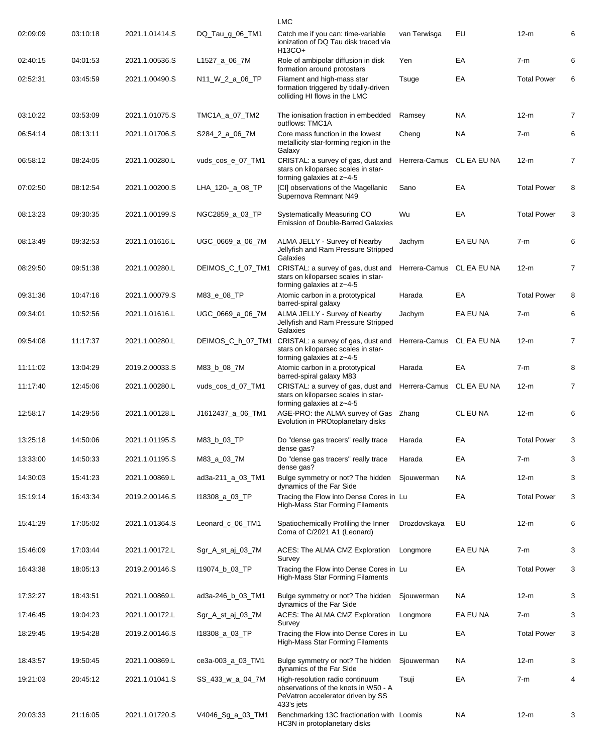|          |          |                |                   | <b>LMC</b>                                                                                                                 |                           |             |                    |                |
|----------|----------|----------------|-------------------|----------------------------------------------------------------------------------------------------------------------------|---------------------------|-------------|--------------------|----------------|
| 02:09:09 | 03:10:18 | 2021.1.01414.S | DQ_Tau_g_06_TM1   | Catch me if you can: time-variable<br>ionization of DQ Tau disk traced via<br>H13CO+                                       | van Terwisga              | EU          | $12-m$             | 6              |
| 02:40:15 | 04:01:53 | 2021.1.00536.S | L1527_a_06_7M     | Role of ambipolar diffusion in disk<br>formation around protostars                                                         | Yen                       | EA          | $7-m$              | 6              |
| 02:52:31 | 03:45:59 | 2021.1.00490.S | N11_W_2_a_06_TP   | Filament and high-mass star<br>formation triggered by tidally-driven<br>colliding HI flows in the LMC                      | Tsuge                     | EA          | <b>Total Power</b> | 6              |
| 03:10:22 | 03:53:09 | 2021.1.01075.S | TMC1A_a_07_TM2    | The ionisation fraction in embedded<br>outflows: TMC1A                                                                     | Ramsey                    | NA          | $12-m$             | 7              |
| 06:54:14 | 08:13:11 | 2021.1.01706.S | S284_2_a_06_7M    | Core mass function in the lowest<br>metallicity star-forming region in the<br>Galaxy                                       | Cheng                     | <b>NA</b>   | $7-m$              | 6              |
| 06:58:12 | 08:24:05 | 2021.1.00280.L | vuds_cos_e_07_TM1 | CRISTAL: a survey of gas, dust and<br>stars on kiloparsec scales in star-<br>forming galaxies at z~4-5                     | Herrera-Camus             | CL EA EU NA | $12-m$             | 7              |
| 07:02:50 | 08:12:54 | 2021.1.00200.S | LHA_120-_a_08_TP  | [CI] observations of the Magellanic<br>Supernova Remnant N49                                                               | Sano                      | EA          | <b>Total Power</b> | 8              |
| 08:13:23 | 09:30:35 | 2021.1.00199.S | NGC2859_a_03_TP   | Systematically Measuring CO<br><b>Emission of Double-Barred Galaxies</b>                                                   | Wu                        | EA          | <b>Total Power</b> | 3              |
| 08:13:49 | 09:32:53 | 2021.1.01616.L | UGC_0669_a_06_7M  | ALMA JELLY - Survey of Nearby<br>Jellyfish and Ram Pressure Stripped<br>Galaxies                                           | Jachym                    | EA EU NA    | $7-m$              | 6              |
| 08:29:50 | 09:51:38 | 2021.1.00280.L | DEIMOS_C_f_07_TM1 | CRISTAL: a survey of gas, dust and<br>stars on kiloparsec scales in star-<br>forming galaxies at z~4-5                     | Herrera-Camus             | CL EA EU NA | $12-m$             | $\overline{7}$ |
| 09:31:36 | 10:47:16 | 2021.1.00079.S | M83_e_08_TP       | Atomic carbon in a prototypical<br>barred-spiral galaxy                                                                    | Harada                    | EA          | <b>Total Power</b> | 8              |
| 09:34:01 | 10:52:56 | 2021.1.01616.L | UGC_0669_a_06_7M  | ALMA JELLY - Survey of Nearby<br>Jellyfish and Ram Pressure Stripped<br>Galaxies                                           | Jachym                    | EA EU NA    | $7-m$              | 6              |
| 09:54:08 | 11:17:37 | 2021.1.00280.L | DEIMOS_C_h_07_TM1 | CRISTAL: a survey of gas, dust and<br>stars on kiloparsec scales in star-<br>forming galaxies at z~4-5                     | Herrera-Camus             | CL EA EU NA | $12-m$             | $\overline{7}$ |
| 11:11:02 | 13:04:29 | 2019.2.00033.S | M83_b_08_7M       | Atomic carbon in a prototypical<br>barred-spiral galaxy M83                                                                | Harada                    | EA          | $7-m$              | 8              |
| 11:17:40 | 12:45:06 | 2021.1.00280.L | vuds_cos_d_07_TM1 | CRISTAL: a survey of gas, dust and<br>stars on kiloparsec scales in star-<br>forming galaxies at z~4-5                     | Herrera-Camus CL EA EU NA |             | $12-m$             | $\overline{7}$ |
| 12:58:17 | 14:29:56 | 2021.1.00128.L | J1612437_a_06_TM1 | AGE-PRO: the ALMA survey of Gas Zhang<br>Evolution in PROtoplanetary disks                                                 |                           | CL EU NA    | $12-m$             | 6              |
| 13:25:18 | 14:50:06 | 2021.1.01195.S | M83 b 03 TP       | Do "dense gas tracers" really trace<br>dense gas?                                                                          | Harada                    | EA          | <b>Total Power</b> | 3              |
| 13:33:00 | 14:50:33 | 2021.1.01195.S | M83_a_03_7M       | Do "dense gas tracers" really trace<br>dense gas?                                                                          | Harada                    | EA          | $7-m$              | 3              |
| 14:30:03 | 15:41:23 | 2021.1.00869.L | ad3a-211_a_03_TM1 | Bulge symmetry or not? The hidden<br>dynamics of the Far Side                                                              | Sjouwerman                | <b>NA</b>   | $12-m$             | 3              |
| 15:19:14 | 16:43:34 | 2019.2.00146.S | 118308_a_03_TP    | Tracing the Flow into Dense Cores in Lu<br>High-Mass Star Forming Filaments                                                |                           | EA          | <b>Total Power</b> | 3              |
| 15:41:29 | 17:05:02 | 2021.1.01364.S | Leonard_c_06_TM1  | Spatiochemically Profiling the Inner<br>Coma of C/2021 A1 (Leonard)                                                        | Drozdovskaya              | EU          | $12-m$             | 6              |
| 15:46:09 | 17:03:44 | 2021.1.00172.L | Sgr_A_st_aj_03_7M | ACES: The ALMA CMZ Exploration<br>Survey                                                                                   | Longmore                  | EA EU NA    | $7-m$              | 3              |
| 16:43:38 | 18:05:13 | 2019.2.00146.S | 119074_b_03_TP    | Tracing the Flow into Dense Cores in Lu<br>High-Mass Star Forming Filaments                                                |                           | EA          | <b>Total Power</b> | 3              |
| 17:32:27 | 18:43:51 | 2021.1.00869.L | ad3a-246_b_03_TM1 | Bulge symmetry or not? The hidden<br>dynamics of the Far Side                                                              | Sjouwerman                | NA.         | $12-m$             | 3              |
| 17:46:45 | 19:04:23 | 2021.1.00172.L | Sgr_A_st_aj_03_7M | ACES: The ALMA CMZ Exploration<br>Survey                                                                                   | Longmore                  | EA EU NA    | $7-m$              | 3              |
| 18:29:45 | 19:54:28 | 2019.2.00146.S | 118308_a_03_TP    | Tracing the Flow into Dense Cores in Lu<br>High-Mass Star Forming Filaments                                                |                           | EA          | <b>Total Power</b> | 3              |
| 18:43:57 | 19:50:45 | 2021.1.00869.L | ce3a-003_a_03_TM1 | Bulge symmetry or not? The hidden<br>dynamics of the Far Side                                                              | Sjouwerman                | NA.         | $12-m$             | 3              |
| 19:21:03 | 20:45:12 | 2021.1.01041.S | SS_433_w_a_04_7M  | High-resolution radio continuum<br>observations of the knots in W50 - A<br>PeVatron accelerator driven by SS<br>433's jets | Tsuji                     | EA          | $7-m$              | 4              |
| 20:03:33 | 21:16:05 | 2021.1.01720.S | V4046_Sg_a_03_TM1 | Benchmarking 13C fractionation with Loomis<br>HC3N in protoplanetary disks                                                 |                           | NA.         | $12-m$             | 3              |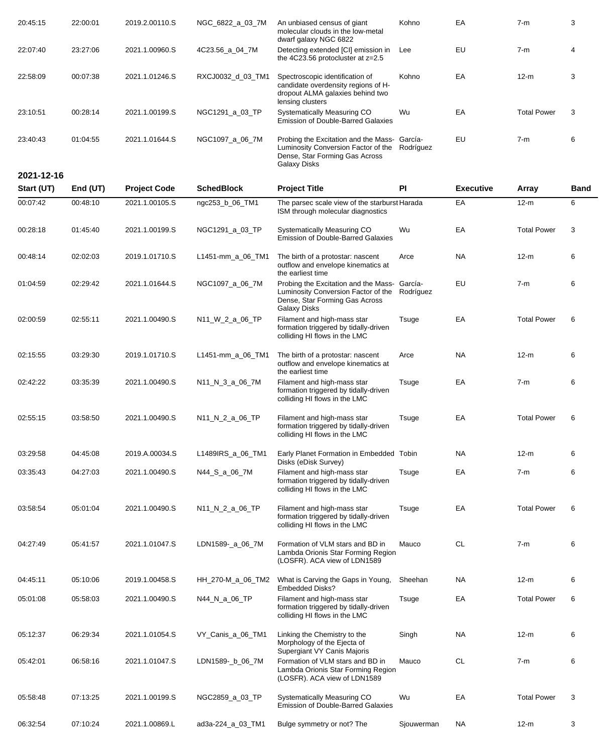| 20:45:15   | 22:00:01 | 2019.2.00110.S      | NGC_6822_a_03_7M  | An unbiased census of giant<br>molecular clouds in the low-metal<br>dwarf galaxy NGC 6822                                                              | Kohno      | EA               | $7-m$              | 3    |
|------------|----------|---------------------|-------------------|--------------------------------------------------------------------------------------------------------------------------------------------------------|------------|------------------|--------------------|------|
| 22:07:40   | 23:27:06 | 2021.1.00960.S      | 4C23.56 a 04 7M   | Detecting extended [CI] emission in<br>the 4C23.56 protocluster at z=2.5                                                                               | Lee        | EU               | $7-m$              | 4    |
| 22:58:09   | 00:07:38 | 2021.1.01246.S      | RXCJ0032_d_03_TM1 | Spectroscopic identification of<br>candidate overdensity regions of H-<br>dropout ALMA galaxies behind two<br>lensing clusters                         | Kohno      | EA               | $12-m$             | 3    |
| 23:10:51   | 00:28:14 | 2021.1.00199.S      | NGC1291_a_03_TP   | Systematically Measuring CO<br><b>Emission of Double-Barred Galaxies</b>                                                                               | Wu         | EA               | <b>Total Power</b> | 3    |
| 23:40:43   | 01:04:55 | 2021.1.01644.S      | NGC1097_a_06_7M   | Probing the Excitation and the Mass- García-<br>Luminosity Conversion Factor of the Rodríguez<br>Dense, Star Forming Gas Across<br><b>Galaxy Disks</b> |            | EU               | $7-m$              | 6    |
| 2021-12-16 |          |                     |                   |                                                                                                                                                        |            |                  |                    |      |
| Start (UT) | End (UT) | <b>Project Code</b> | <b>SchedBlock</b> | <b>Project Title</b>                                                                                                                                   | PI         | <b>Executive</b> | Array              | Band |
| 00:07:42   | 00:48:10 | 2021.1.00105.S      | ngc253_b_06_TM1   | The parsec scale view of the starburst Harada<br>ISM through molecular diagnostics                                                                     |            | EA               | $12-m$             | 6    |
| 00:28:18   | 01:45:40 | 2021.1.00199.S      | NGC1291_a_03_TP   | Systematically Measuring CO<br><b>Emission of Double-Barred Galaxies</b>                                                                               | Wu         | EA               | <b>Total Power</b> | 3    |
| 00:48:14   | 02:02:03 | 2019.1.01710.S      | L1451-mm_a_06_TM1 | The birth of a protostar: nascent<br>outflow and envelope kinematics at<br>the earliest time                                                           | Arce       | <b>NA</b>        | $12-m$             | 6    |
| 01:04:59   | 02:29:42 | 2021.1.01644.S      | NGC1097_a_06_7M   | Probing the Excitation and the Mass- García-<br>Luminosity Conversion Factor of the<br>Dense, Star Forming Gas Across<br><b>Galaxy Disks</b>           | Rodríguez  | EU               | $7-m$              | 6    |
| 02:00:59   | 02:55:11 | 2021.1.00490.S      | N11_W_2_a_06_TP   | Filament and high-mass star<br>formation triggered by tidally-driven<br>colliding HI flows in the LMC                                                  | Tsuge      | EA               | <b>Total Power</b> | 6    |
| 02:15:55   | 03:29:30 | 2019.1.01710.S      | L1451-mm_a_06_TM1 | The birth of a protostar: nascent<br>outflow and envelope kinematics at<br>the earliest time                                                           | Arce       | <b>NA</b>        | $12-m$             | 6    |
| 02:42:22   | 03:35:39 | 2021.1.00490.S      | N11_N_3_a_06_7M   | Filament and high-mass star<br>formation triggered by tidally-driven<br>colliding HI flows in the LMC                                                  | Tsuge      | EA               | $7-m$              | 6    |
| 02:55:15   | 03:58:50 | 2021.1.00490.S      | N11_N_2_a_06_TP   | Filament and high-mass star<br>formation triggered by tidally-driven<br>colliding HI flows in the LMC                                                  | Tsuge      | EA               | <b>Total Power</b> | 6    |
| 03:29:58   | 04:45:08 | 2019.A.00034.S      | L1489IRS_a_06_TM1 | Early Planet Formation in Embedded Tobin<br>Disks (eDisk Survey)                                                                                       |            | <b>NA</b>        | $12-m$             | 6    |
| 03:35:43   | 04:27:03 | 2021.1.00490.S      | N44_S_a_06_7M     | Filament and high-mass star<br>formation triggered by tidally-driven<br>colliding HI flows in the LMC                                                  | Tsuge      | ЕA               | $7-m$              | 6    |
| 03:58:54   | 05:01:04 | 2021.1.00490.S      | N11_N_2_a_06_TP   | Filament and high-mass star<br>formation triggered by tidally-driven<br>colliding HI flows in the LMC                                                  | Tsuge      | EA               | <b>Total Power</b> | 6    |
| 04:27:49   | 05:41:57 | 2021.1.01047.S      | LDN1589-_a_06_7M  | Formation of VLM stars and BD in<br>Lambda Orionis Star Forming Region<br>(LOSFR). ACA view of LDN1589                                                 | Mauco      | <b>CL</b>        | $7-m$              | 6    |
| 04:45:11   | 05:10:06 | 2019.1.00458.S      | HH_270-M_a_06_TM2 | What is Carving the Gaps in Young,<br><b>Embedded Disks?</b>                                                                                           | Sheehan    | NA               | $12-m$             | 6    |
| 05:01:08   | 05:58:03 | 2021.1.00490.S      | N44_N_a_06_TP     | Filament and high-mass star<br>formation triggered by tidally-driven<br>colliding HI flows in the LMC                                                  | Tsuge      | ЕA               | <b>Total Power</b> | 6    |
| 05:12:37   | 06:29:34 | 2021.1.01054.S      | VY_Canis_a_06_TM1 | Linking the Chemistry to the<br>Morphology of the Ejecta of<br>Supergiant VY Canis Majoris                                                             | Singh      | <b>NA</b>        | $12-m$             | 6    |
| 05:42:01   | 06:58:16 | 2021.1.01047.S      | LDN1589-_b_06_7M  | Formation of VLM stars and BD in<br>Lambda Orionis Star Forming Region<br>(LOSFR). ACA view of LDN1589                                                 | Mauco      | CL               | $7-m$              | 6    |
| 05:58:48   | 07:13:25 | 2021.1.00199.S      | NGC2859_a_03_TP   | Systematically Measuring CO<br><b>Emission of Double-Barred Galaxies</b>                                                                               | Wu         | EA               | <b>Total Power</b> | 3    |
| 06:32:54   | 07:10:24 | 2021.1.00869.L      | ad3a-224_a_03_TM1 | Bulge symmetry or not? The                                                                                                                             | Sjouwerman | <b>NA</b>        | $12-m$             | 3    |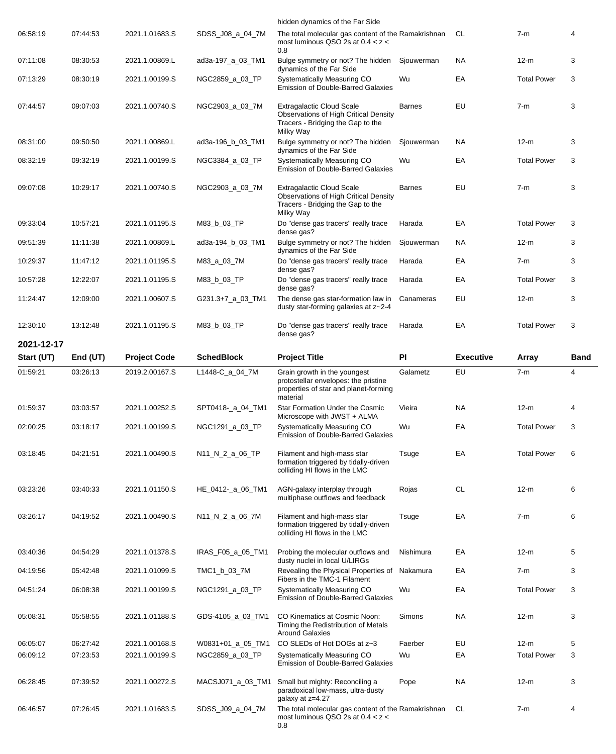|                          |                      |                     |                   | hidden dynamics of the Far Side                                                                                                    |               |                  |                    |                |
|--------------------------|----------------------|---------------------|-------------------|------------------------------------------------------------------------------------------------------------------------------------|---------------|------------------|--------------------|----------------|
| 06:58:19                 | 07:44:53             | 2021.1.01683.S      | SDSS_J08_a_04_7M  | The total molecular gas content of the Ramakrishnan<br>most luminous QSO 2s at $0.4 < z <$<br>0.8                                  |               | CL               | $7-m$              | 4              |
| 07:11:08                 | 08:30:53             | 2021.1.00869.L      | ad3a-197_a_03_TM1 | Bulge symmetry or not? The hidden<br>dynamics of the Far Side                                                                      | Sjouwerman    | <b>NA</b>        | $12-m$             | 3              |
| 07:13:29                 | 08:30:19             | 2021.1.00199.S      | NGC2859_a_03_TP   | Systematically Measuring CO<br><b>Emission of Double-Barred Galaxies</b>                                                           | Wu            | EA               | <b>Total Power</b> | 3              |
| 07:44:57                 | 09:07:03             | 2021.1.00740.S      | NGC2903_a_03_7M   | <b>Extragalactic Cloud Scale</b><br><b>Observations of High Critical Density</b><br>Tracers - Bridging the Gap to the<br>Milky Way | <b>Barnes</b> | EU               | $7-m$              | 3              |
| 08:31:00                 | 09:50:50             | 2021.1.00869.L      | ad3a-196 b 03 TM1 | Bulge symmetry or not? The hidden<br>dynamics of the Far Side                                                                      | Sjouwerman    | <b>NA</b>        | $12-m$             | 3              |
| 08:32:19                 | 09:32:19             | 2021.1.00199.S      | NGC3384_a_03_TP   | Systematically Measuring CO<br><b>Emission of Double-Barred Galaxies</b>                                                           | Wu            | EA               | <b>Total Power</b> | 3              |
| 09:07:08                 | 10:29:17             | 2021.1.00740.S      | NGC2903_a_03_7M   | <b>Extragalactic Cloud Scale</b><br><b>Observations of High Critical Density</b><br>Tracers - Bridging the Gap to the<br>Milky Way | <b>Barnes</b> | EU               | $7-m$              | 3              |
| 09:33:04                 | 10:57:21             | 2021.1.01195.S      | M83_b_03_TP       | Do "dense gas tracers" really trace<br>dense gas?                                                                                  | Harada        | EA               | <b>Total Power</b> | 3              |
| 09:51:39                 | 11:11:38             | 2021.1.00869.L      | ad3a-194_b_03_TM1 | Bulge symmetry or not? The hidden<br>dynamics of the Far Side                                                                      | Sjouwerman    | <b>NA</b>        | $12-m$             | 3              |
| 10:29:37                 | 11:47:12             | 2021.1.01195.S      | M83_a_03_7M       | Do "dense gas tracers" really trace<br>dense gas?                                                                                  | Harada        | EA               | $7-m$              | 3              |
| 10:57:28                 | 12:22:07             | 2021.1.01195.S      | M83_b_03_TP       | Do "dense gas tracers" really trace<br>dense gas?                                                                                  | Harada        | EA               | <b>Total Power</b> | 3              |
| 11:24:47                 | 12:09:00             | 2021.1.00607.S      | G231.3+7_a_03_TM1 | The dense gas star-formation law in<br>dusty star-forming galaxies at z~2-4                                                        | Canameras     | EU               | 12-m               | 3              |
| 12:30:10                 | 13:12:48             | 2021.1.01195.S      | M83_b_03_TP       | Do "dense gas tracers" really trace<br>dense gas?                                                                                  | Harada        | EA               | <b>Total Power</b> | 3              |
| 2021-12-17<br>Start (UT) |                      | <b>Project Code</b> | <b>SchedBlock</b> | <b>Project Title</b>                                                                                                               | PI            | <b>Executive</b> | Array              | <b>Band</b>    |
| 01:59:21                 | End (UT)<br>03:26:13 | 2019.2.00167.S      | L1448-C a 04 7M   | Grain growth in the youngest                                                                                                       | Galametz      | EU               | $7-m$              | $\overline{4}$ |
|                          |                      |                     |                   | protostellar envelopes: the pristine<br>properties of star and planet-forming<br>material                                          |               |                  |                    |                |
| 01:59:37                 | 03:03:57             | 2021.1.00252.S      | SPT0418-_a_04_TM1 | Star Formation Under the Cosmic<br>Microscope with JWST + ALMA                                                                     | Vieira        | <b>NA</b>        | $12-m$             | 4              |
| 02:00:25                 | 03:18:17             | 2021.1.00199.S      | NGC1291_a_03_TP   | Systematically Measuring CO<br><b>Emission of Double-Barred Galaxies</b>                                                           | Wu            | EA               | <b>Total Power</b> | 3              |
| 03:18:45                 | 04:21:51             | 2021.1.00490.S      | N11_N_2_a_06_TP   | Filament and high-mass star<br>formation triggered by tidally-driven<br>colliding HI flows in the LMC                              | Tsuge         | EA               | <b>Total Power</b> | 6              |
| 03:23:26                 | 03:40:33             | 2021.1.01150.S      | HE_0412-_a_06_TM1 | AGN-galaxy interplay through<br>multiphase outflows and feedback                                                                   | Rojas         | <b>CL</b>        | $12-m$             | 6              |
| 03:26:17                 | 04:19:52             | 2021.1.00490.S      | N11_N_2_a_06_7M   | Filament and high-mass star<br>formation triggered by tidally-driven<br>colliding HI flows in the LMC                              | Tsuge         | EA               | $7-m$              | 6              |
| 03:40:36                 | 04:54:29             | 2021.1.01378.S      | IRAS_F05_a_05_TM1 | Probing the molecular outflows and<br>dusty nuclei in local U/LIRGs                                                                | Nishimura     | EA               | $12-m$             | 5              |
| 04:19:56                 | 05:42:48             | 2021.1.01099.S      | TMC1_b_03_7M      | Revealing the Physical Properties of<br>Fibers in the TMC-1 Filament                                                               | Nakamura      | EA               | $7-m$              | 3              |
| 04:51:24                 | 06:08:38             | 2021.1.00199.S      | NGC1291_a_03_TP   | Systematically Measuring CO<br><b>Emission of Double-Barred Galaxies</b>                                                           | Wu            | EA               | <b>Total Power</b> | 3              |
| 05:08:31                 | 05:58:55             | 2021.1.01188.S      | GDS-4105_a_03_TM1 | CO Kinematics at Cosmic Noon:<br>Timing the Redistribution of Metals<br><b>Around Galaxies</b>                                     | Simons        | <b>NA</b>        | $12-m$             | 3              |
| 06:05:07                 | 06:27:42             | 2021.1.00168.S      | W0831+01_a_05_TM1 | CO SLEDs of Hot DOGs at z~3                                                                                                        | Faerber       | EU               | $12-m$             | 5              |
| 06:09:12                 | 07:23:53             | 2021.1.00199.S      | NGC2859_a_03_TP   | Systematically Measuring CO<br><b>Emission of Double-Barred Galaxies</b>                                                           | Wu            | EA               | <b>Total Power</b> | 3              |
| 06:28:45                 | 07:39:52             | 2021.1.00272.S      | MACSJ071_a_03_TM1 | Small but mighty: Reconciling a<br>paradoxical low-mass, ultra-dusty                                                               | Pope          | <b>NA</b>        | $12-m$             | 3              |
|                          |                      |                     |                   | galaxy at z=4.27                                                                                                                   |               |                  |                    |                |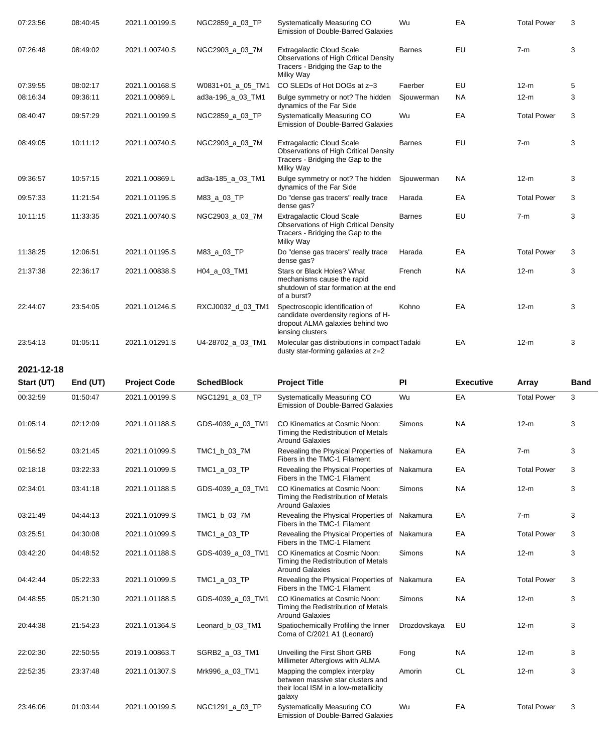| 07:23:56 | 08:40:45 | 2021.1.00199.S | NGC2859_a_03_TP   | Systematically Measuring CO<br><b>Emission of Double-Barred Galaxies</b>                                                       | Wu            | EA        | <b>Total Power</b> | 3 |
|----------|----------|----------------|-------------------|--------------------------------------------------------------------------------------------------------------------------------|---------------|-----------|--------------------|---|
| 07:26:48 | 08:49:02 | 2021.1.00740.S | NGC2903_a_03_7M   | <b>Extragalactic Cloud Scale</b><br>Observations of High Critical Density<br>Tracers - Bridging the Gap to the<br>Milky Way    | <b>Barnes</b> | EU        | $7-m$              | 3 |
| 07:39:55 | 08:02:17 | 2021.1.00168.S | W0831+01_a_05_TM1 | CO SLEDs of Hot DOGs at z~3                                                                                                    | Faerber       | EU        | $12-m$             | 5 |
| 08:16:34 | 09:36:11 | 2021.1.00869.L | ad3a-196_a_03_TM1 | Bulge symmetry or not? The hidden<br>dynamics of the Far Side                                                                  | Sjouwerman    | <b>NA</b> | $12-m$             | 3 |
| 08:40:47 | 09:57:29 | 2021.1.00199.S | NGC2859_a_03_TP   | Systematically Measuring CO<br>Emission of Double-Barred Galaxies                                                              | Wu            | EA        | <b>Total Power</b> | 3 |
| 08:49:05 | 10:11:12 | 2021.1.00740.S | NGC2903_a_03_7M   | <b>Extragalactic Cloud Scale</b><br>Observations of High Critical Density<br>Tracers - Bridging the Gap to the<br>Milky Way    | <b>Barnes</b> | EU        | $7-m$              | 3 |
| 09:36:57 | 10:57:15 | 2021.1.00869.L | ad3a-185_a_03_TM1 | Bulge symmetry or not? The hidden<br>dynamics of the Far Side                                                                  | Sjouwerman    | <b>NA</b> | $12-m$             | 3 |
| 09:57:33 | 11:21:54 | 2021.1.01195.S | M83_a_03_TP       | Do "dense gas tracers" really trace<br>dense gas?                                                                              | Harada        | EA        | <b>Total Power</b> | 3 |
| 10:11:15 | 11:33:35 | 2021.1.00740.S | NGC2903_a_03_7M   | <b>Extragalactic Cloud Scale</b><br>Observations of High Critical Density<br>Tracers - Bridging the Gap to the<br>Milky Way    | <b>Barnes</b> | EU        | $7-m$              | 3 |
| 11:38:25 | 12:06:51 | 2021.1.01195.S | M83_a_03_TP       | Do "dense gas tracers" really trace<br>dense gas?                                                                              | Harada        | EA        | <b>Total Power</b> | 3 |
| 21:37:38 | 22:36:17 | 2021.1.00838.S | H04_a_03_TM1      | Stars or Black Holes? What<br>mechanisms cause the rapid<br>shutdown of star formation at the end<br>of a burst?               | French        | <b>NA</b> | $12-m$             | 3 |
| 22:44:07 | 23:54:05 | 2021.1.01246.S | RXCJ0032_d_03_TM1 | Spectroscopic identification of<br>candidate overdensity regions of H-<br>dropout ALMA galaxies behind two<br>lensing clusters | Kohno         | EA        | $12-m$             | 3 |
| 23:54:13 | 01:05:11 | 2021.1.01291.S | U4-28702_a_03_TM1 | Molecular gas distributions in compactTadaki<br>dusty star-forming galaxies at z=2                                             |               | EA        | $12-m$             | 3 |

**2021-12-18**

| Start (UT) | End (UT) | <b>Project Code</b> | <b>SchedBlock</b> | <b>Project Title</b>                                                                                                 | PI           | <b>Executive</b> | Array              | <b>Band</b> |
|------------|----------|---------------------|-------------------|----------------------------------------------------------------------------------------------------------------------|--------------|------------------|--------------------|-------------|
| 00:32:59   | 01:50:47 | 2021.1.00199.S      | NGC1291_a_03_TP   | Systematically Measuring CO<br><b>Emission of Double-Barred Galaxies</b>                                             | Wu           | EA               | <b>Total Power</b> | 3           |
| 01:05:14   | 02:12:09 | 2021.1.01188.S      | GDS-4039_a_03_TM1 | CO Kinematics at Cosmic Noon:<br>Timing the Redistribution of Metals<br><b>Around Galaxies</b>                       | Simons       | <b>NA</b>        | $12-m$             | 3           |
| 01:56:52   | 03:21:45 | 2021.1.01099.S      | TMC1_b_03_7M      | Revealing the Physical Properties of Nakamura<br>Fibers in the TMC-1 Filament                                        |              | EA               | $7-m$              | 3           |
| 02:18:18   | 03:22:33 | 2021.1.01099.S      | TMC1_a_03_TP      | Revealing the Physical Properties of<br>Fibers in the TMC-1 Filament                                                 | Nakamura     | EA               | <b>Total Power</b> | 3           |
| 02:34:01   | 03:41:18 | 2021.1.01188.S      | GDS-4039_a_03_TM1 | CO Kinematics at Cosmic Noon:<br>Timing the Redistribution of Metals<br><b>Around Galaxies</b>                       | Simons       | <b>NA</b>        | $12-m$             | 3           |
| 03:21:49   | 04:44:13 | 2021.1.01099.S      | TMC1_b_03_7M      | Revealing the Physical Properties of Nakamura<br>Fibers in the TMC-1 Filament                                        |              | EA               | $7-m$              | 3           |
| 03:25:51   | 04:30:08 | 2021.1.01099.S      | TMC1_a_03_TP      | Revealing the Physical Properties of Nakamura<br>Fibers in the TMC-1 Filament                                        |              | EA               | <b>Total Power</b> | 3           |
| 03:42:20   | 04:48:52 | 2021.1.01188.S      | GDS-4039_a_03_TM1 | CO Kinematics at Cosmic Noon:<br>Timing the Redistribution of Metals<br><b>Around Galaxies</b>                       | Simons       | <b>NA</b>        | $12-m$             | 3           |
| 04:42:44   | 05:22:33 | 2021.1.01099.S      | TMC1_a_03_TP      | Revealing the Physical Properties of<br>Fibers in the TMC-1 Filament                                                 | Nakamura     | EA               | <b>Total Power</b> | 3           |
| 04:48:55   | 05:21:30 | 2021.1.01188.S      | GDS-4039_a_03_TM1 | CO Kinematics at Cosmic Noon:<br>Timing the Redistribution of Metals<br><b>Around Galaxies</b>                       | Simons       | <b>NA</b>        | $12-m$             | 3           |
| 20:44:38   | 21:54:23 | 2021.1.01364.S      | Leonard b 03 TM1  | Spatiochemically Profiling the Inner<br>Coma of C/2021 A1 (Leonard)                                                  | Drozdovskaya | EU               | $12-m$             | 3           |
| 22:02:30   | 22:50:55 | 2019.1.00863.T      | SGRB2_a_03_TM1    | Unveiling the First Short GRB<br>Millimeter Afterglows with ALMA                                                     | Fong         | <b>NA</b>        | $12-m$             | 3           |
| 22:52:35   | 23:37:48 | 2021.1.01307.S      | Mrk996 a 03 TM1   | Mapping the complex interplay<br>between massive star clusters and<br>their local ISM in a low-metallicity<br>galaxy | Amorin       | <b>CL</b>        | $12-m$             | 3           |
| 23:46:06   | 01:03:44 | 2021.1.00199.S      | NGC1291 a 03 TP   | Systematically Measuring CO<br><b>Emission of Double-Barred Galaxies</b>                                             | Wu           | EA               | <b>Total Power</b> | 3           |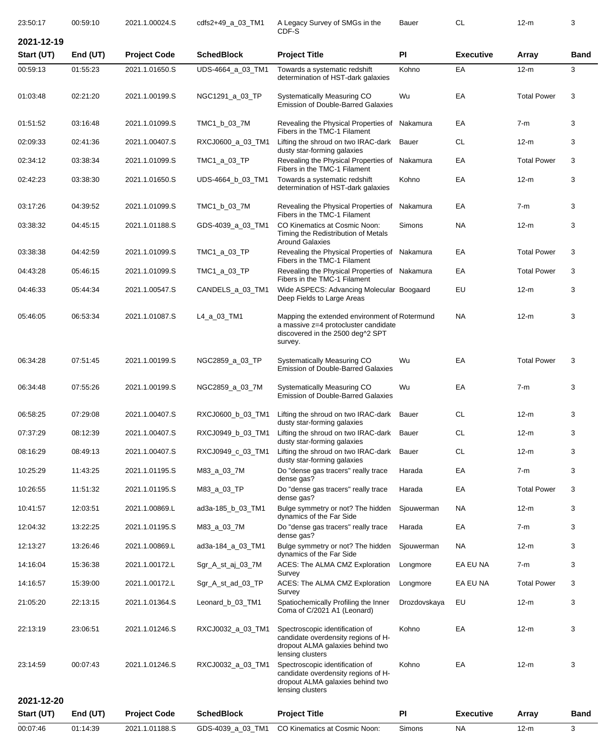| 23:50:17   | 00:59:10 | 2021.1.00024.S      | cdfs2+49_a_03_TM1 | A Legacy Survey of SMGs in the<br>CDF-S                                                                                              | Bauer        | <b>CL</b>        | $12-m$             | 3           |
|------------|----------|---------------------|-------------------|--------------------------------------------------------------------------------------------------------------------------------------|--------------|------------------|--------------------|-------------|
| 2021-12-19 |          |                     |                   |                                                                                                                                      |              |                  |                    |             |
| Start (UT) | End (UT) | <b>Project Code</b> | <b>SchedBlock</b> | <b>Project Title</b>                                                                                                                 | <b>PI</b>    | <b>Executive</b> | Array              | Band        |
| 00:59:13   | 01:55:23 | 2021.1.01650.S      | UDS-4664_a_03_TM1 | Towards a systematic redshift<br>determination of HST-dark galaxies                                                                  | Kohno        | EA               | $12-m$             | 3           |
| 01:03:48   | 02:21:20 | 2021.1.00199.S      | NGC1291_a_03_TP   | Systematically Measuring CO<br>Emission of Double-Barred Galaxies                                                                    | Wu           | EA               | <b>Total Power</b> | 3           |
| 01:51:52   | 03:16:48 | 2021.1.01099.S      | TMC1_b_03_7M      | Revealing the Physical Properties of Nakamura<br>Fibers in the TMC-1 Filament                                                        |              | ЕA               | $7-m$              | 3           |
| 02:09:33   | 02:41:36 | 2021.1.00407.S      | RXCJ0600_a_03_TM1 | Lifting the shroud on two IRAC-dark<br>dusty star-forming galaxies                                                                   | Bauer        | <b>CL</b>        | $12-m$             | 3           |
| 02:34:12   | 03:38:34 | 2021.1.01099.S      | TMC1_a_03_TP      | Revealing the Physical Properties of<br>Fibers in the TMC-1 Filament                                                                 | Nakamura     | EA               | <b>Total Power</b> | 3           |
| 02:42:23   | 03:38:30 | 2021.1.01650.S      | UDS-4664_b_03_TM1 | Towards a systematic redshift<br>determination of HST-dark galaxies                                                                  | Kohno        | EA               | $12-m$             | 3           |
| 03:17:26   | 04:39:52 | 2021.1.01099.S      | TMC1_b_03_7M      | Revealing the Physical Properties of<br>Fibers in the TMC-1 Filament                                                                 | Nakamura     | EA               | $7-m$              | 3           |
| 03:38:32   | 04:45:15 | 2021.1.01188.S      | GDS-4039_a_03_TM1 | CO Kinematics at Cosmic Noon:<br>Timing the Redistribution of Metals<br><b>Around Galaxies</b>                                       | Simons       | <b>NA</b>        | $12-m$             | 3           |
| 03:38:38   | 04:42:59 | 2021.1.01099.S      | $TMC1_a_03_TP$    | Revealing the Physical Properties of Nakamura<br>Fibers in the TMC-1 Filament                                                        |              | EA               | <b>Total Power</b> | 3           |
| 04:43:28   | 05:46:15 | 2021.1.01099.S      | TMC1_a_03_TP      | Revealing the Physical Properties of Nakamura<br>Fibers in the TMC-1 Filament                                                        |              | EA               | <b>Total Power</b> | 3           |
| 04:46:33   | 05:44:34 | 2021.1.00547.S      | CANDELS_a_03_TM1  | Wide ASPECS: Advancing Molecular Boogaard<br>Deep Fields to Large Areas                                                              |              | EU               | $12-m$             | 3           |
| 05:46:05   | 06:53:34 | 2021.1.01087.S      | L4_a_03_TM1       | Mapping the extended environment of Rotermund<br>a massive z=4 protocluster candidate<br>discovered in the 2500 deg^2 SPT<br>survey. |              | <b>NA</b>        | $12-m$             | 3           |
| 06:34:28   | 07:51:45 | 2021.1.00199.S      | NGC2859_a_03_TP   | Systematically Measuring CO<br><b>Emission of Double-Barred Galaxies</b>                                                             | Wu           | EA               | <b>Total Power</b> | 3           |
| 06:34:48   | 07:55:26 | 2021.1.00199.S      | NGC2859_a_03_7M   | Systematically Measuring CO<br><b>Emission of Double-Barred Galaxies</b>                                                             | Wu           | EA               | $7-m$              | 3           |
| 06:58:25   | 07:29:08 | 2021.1.00407.S      | RXCJ0600_b_03_TM1 | Lifting the shroud on two IRAC-dark Bauer<br>dusty star-forming galaxies                                                             |              | <b>CL</b>        | $12-m$             | 3           |
| 07:37:29   | 08:12:39 | 2021.1.00407.S      | RXCJ0949_b_03_TM1 | Lifting the shroud on two IRAC-dark<br>dusty star-forming galaxies                                                                   | Bauer        | CL               | $12-m$             | 3           |
| 08:16:29   | 08:49:13 | 2021.1.00407.S      | RXCJ0949_c_03_TM1 | Lifting the shroud on two IRAC-dark<br>dusty star-forming galaxies                                                                   | Bauer        | <b>CL</b>        | $12-m$             | 3           |
| 10:25:29   | 11:43:25 | 2021.1.01195.S      | M83_a_03_7M       | Do "dense gas tracers" really trace<br>dense gas?                                                                                    | Harada       | EA               | $7-m$              | 3           |
| 10:26:55   | 11:51:32 | 2021.1.01195.S      | M83_a_03_TP       | Do "dense gas tracers" really trace<br>dense gas?                                                                                    | Harada       | EA               | <b>Total Power</b> | 3           |
| 10:41:57   | 12:03:51 | 2021.1.00869.L      | ad3a-185_b_03_TM1 | Bulge symmetry or not? The hidden<br>dynamics of the Far Side                                                                        | Sjouwerman   | <b>NA</b>        | $12-m$             | 3           |
| 12:04:32   | 13:22:25 | 2021.1.01195.S      | M83_a_03_7M       | Do "dense gas tracers" really trace<br>dense gas?                                                                                    | Harada       | EA               | $7-m$              | 3           |
| 12:13:27   | 13:26:46 | 2021.1.00869.L      | ad3a-184_a_03_TM1 | Bulge symmetry or not? The hidden<br>dynamics of the Far Side                                                                        | Sjouwerman   | <b>NA</b>        | $12-m$             | 3           |
| 14:16:04   | 15:36:38 | 2021.1.00172.L      | Sgr_A_st_aj_03_7M | ACES: The ALMA CMZ Exploration<br>Survey                                                                                             | Longmore     | EA EU NA         | $7-m$              | 3           |
| 14:16:57   | 15:39:00 | 2021.1.00172.L      | Sgr_A_st_ad_03_TP | ACES: The ALMA CMZ Exploration<br>Survey                                                                                             | Longmore     | EA EU NA         | <b>Total Power</b> | 3           |
| 21:05:20   | 22:13:15 | 2021.1.01364.S      | Leonard_b_03_TM1  | Spatiochemically Profiling the Inner<br>Coma of C/2021 A1 (Leonard)                                                                  | Drozdovskaya | EU               | $12-m$             | 3           |
| 22:13:19   | 23:06:51 | 2021.1.01246.S      | RXCJ0032_a_03_TM1 | Spectroscopic identification of<br>candidate overdensity regions of H-<br>dropout ALMA galaxies behind two<br>lensing clusters       | Kohno        | EA               | $12-m$             | 3           |
| 23:14:59   | 00:07:43 | 2021.1.01246.S      | RXCJ0032_a_03_TM1 | Spectroscopic identification of<br>candidate overdensity regions of H-<br>dropout ALMA galaxies behind two<br>lensing clusters       | Kohno        | EA               | $12-m$             | 3           |
| 2021-12-20 |          |                     |                   |                                                                                                                                      |              |                  |                    |             |
| Start (UT) | End (UT) | <b>Project Code</b> | <b>SchedBlock</b> | <b>Project Title</b>                                                                                                                 | PI           | <b>Executive</b> | Array              | <b>Band</b> |
| 00:07:46   | 01:14:39 | 2021.1.01188.S      | GDS-4039_a_03_TM1 | CO Kinematics at Cosmic Noon:                                                                                                        | Simons       | <b>NA</b>        | $12-m$             | 3           |